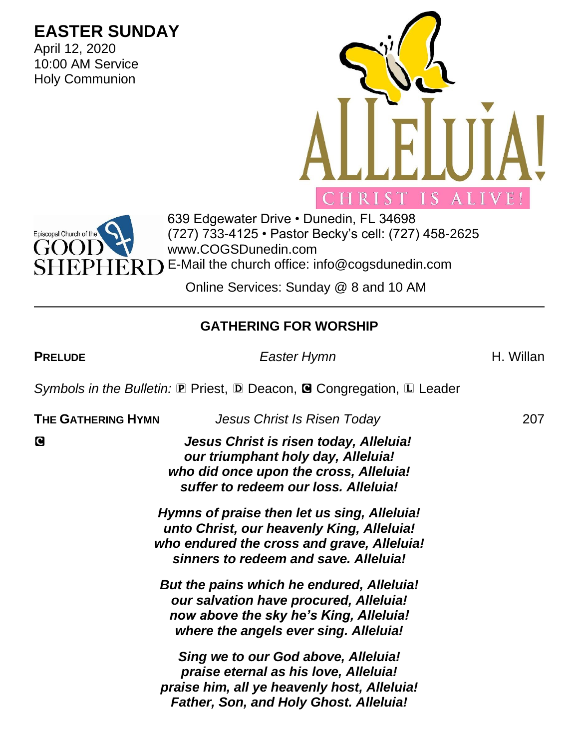# **EASTER SUNDAY**

April 12, 2020 10:00 AM Service Holy Communion





639 Edgewater Drive • Dunedin, FL 34698 (727) 733-4125 • Pastor Becky's cell: (727) 458-2625 www.COGSDunedin.com E-Mail the church office: info@cogsdunedin.com

Online Services: Sunday @ 8 and 10 AM

# **GATHERING FOR WORSHIP**

**PRELUDE** *Easter Hymn* H. Willan

*Symbols in the Bulletin:* P Priest, D Deacon, <sup>O</sup> Congregation, L Leader

**THE GATHERING HYMN** *Jesus Christ Is Risen Today* 207 C *Jesus Christ is risen today, Alleluia! our triumphant holy day, Alleluia! who did once upon the cross, Alleluia! suffer to redeem our loss. Alleluia! Hymns of praise then let us sing, Alleluia! unto Christ, our heavenly King, Alleluia! who endured the cross and grave, Alleluia! sinners to redeem and save. Alleluia! But the pains which he endured, Alleluia! our salvation have procured, Alleluia! now above the sky he's King, Alleluia! where the angels ever sing. Alleluia! Sing we to our God above, Alleluia! praise eternal as his love, Alleluia! praise him, all ye heavenly host, Alleluia! Father, Son, and Holy Ghost. Alleluia!*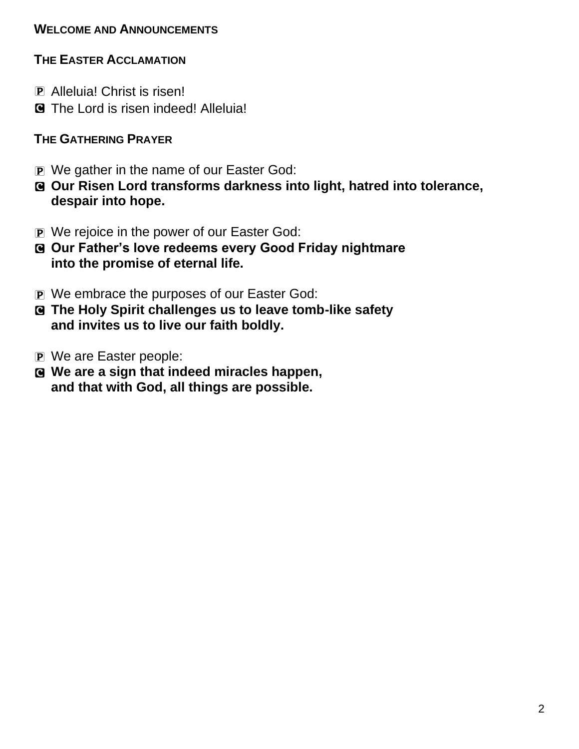### **WELCOME AND ANNOUNCEMENTS**

### **THE EASTER ACCLAMATION**

- P Alleluia! Christ is risen!
- C The Lord is risen indeed! Alleluia!

### **THE GATHERING PRAYER**

- P We gather in the name of our Easter God:
- C **Our Risen Lord transforms darkness into light, hatred into tolerance, despair into hope.**
- P We rejoice in the power of our Easter God:
- C **Our Father's love redeems every Good Friday nightmare into the promise of eternal life.**
- P We embrace the purposes of our Easter God:
- C **The Holy Spirit challenges us to leave tomb-like safety and invites us to live our faith boldly.**
- P We are Easter people:
- C **We are a sign that indeed miracles happen, and that with God, all things are possible.**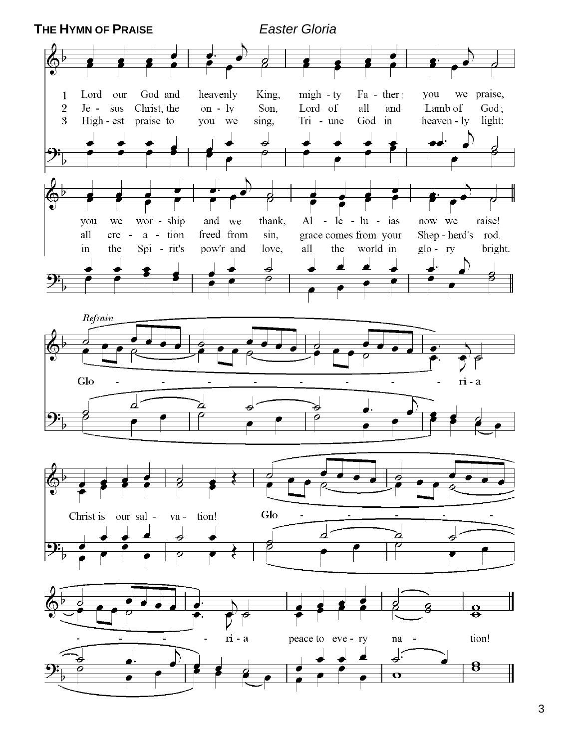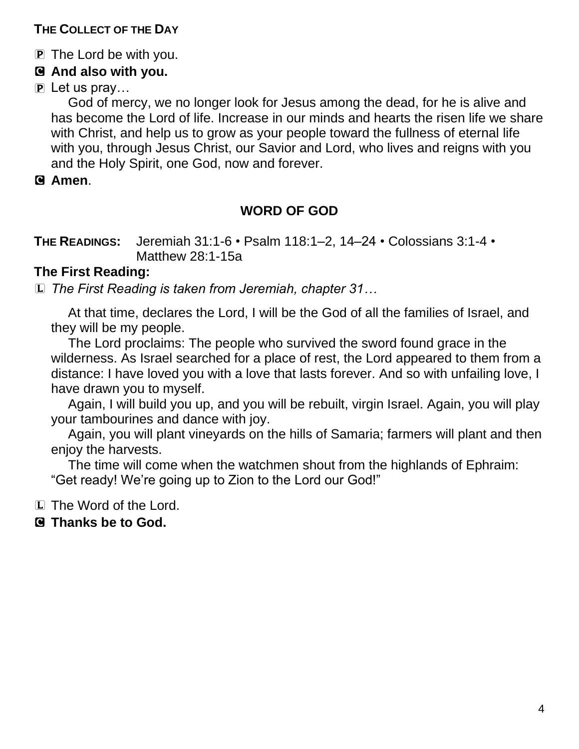### **THE COLLECT OF THE DAY**

P The Lord be with you.

# C **And also with you.**

 $\overline{p}$  Let us pray...

God of mercy, we no longer look for Jesus among the dead, for he is alive and has become the Lord of life. Increase in our minds and hearts the risen life we share with Christ, and help us to grow as your people toward the fullness of eternal life with you, through Jesus Christ, our Savior and Lord, who lives and reigns with you and the Holy Spirit, one God, now and forever.

C **Amen**.

# **WORD OF GOD**

**THE READINGS:** Jeremiah 31:1-6 • Psalm 118:1–2, 14–24 • Colossians 3:1-4 • Matthew 28:1-15a

### **The First Reading:**

L *The First Reading is taken from Jeremiah, chapter 31…*

At that time, declares the Lord, I will be the God of all the families of Israel, and they will be my people.

The Lord proclaims: The people who survived the sword found grace in the wilderness. As Israel searched for a place of rest, the Lord appeared to them from a distance: I have loved you with a love that lasts forever. And so with unfailing love, I have drawn you to myself.

Again, I will build you up, and you will be rebuilt, virgin Israel. Again, you will play your tambourines and dance with joy.

Again, you will plant vineyards on the hills of Samaria; farmers will plant and then enjoy the harvests.

The time will come when the watchmen shout from the highlands of Ephraim: "Get ready! We're going up to Zion to the Lord our God!"

L The Word of the Lord.

C **Thanks be to God.**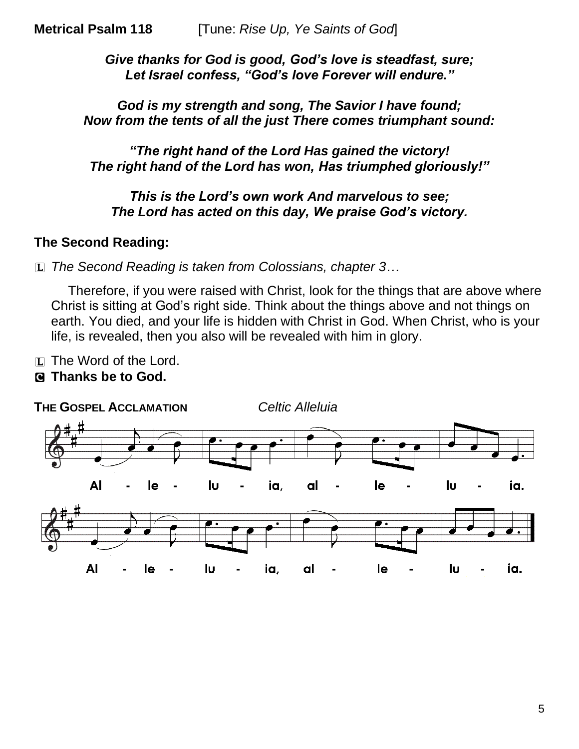*Give thanks for God is good, God's love is steadfast, sure; Let Israel confess, "God's love Forever will endure."*

### *God is my strength and song, The Savior I have found; Now from the tents of all the just There comes triumphant sound:*

*"The right hand of the Lord Has gained the victory! The right hand of the Lord has won, Has triumphed gloriously!"*

### *This is the Lord's own work And marvelous to see; The Lord has acted on this day, We praise God's victory.*

### **The Second Reading:**

L *The Second Reading is taken from Colossians, chapter 3…*

Therefore, if you were raised with Christ, look for the things that are above where Christ is sitting at God's right side. Think about the things above and not things on earth. You died, and your life is hidden with Christ in God. When Christ, who is your life, is revealed, then you also will be revealed with him in glory.

- L The Word of the Lord.
- C **Thanks be to God.**

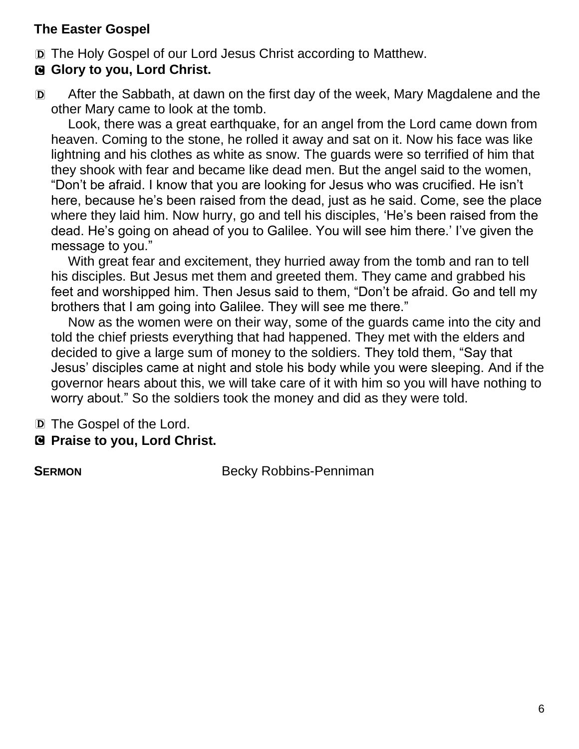## **The Easter Gospel**

D The Holy Gospel of our Lord Jesus Christ according to Matthew.

C **Glory to you, Lord Christ.**

D After the Sabbath, at dawn on the first day of the week, Mary Magdalene and the other Mary came to look at the tomb.

Look, there was a great earthquake, for an angel from the Lord came down from heaven. Coming to the stone, he rolled it away and sat on it. Now his face was like lightning and his clothes as white as snow. The guards were so terrified of him that they shook with fear and became like dead men. But the angel said to the women, "Don't be afraid. I know that you are looking for Jesus who was crucified. He isn't here, because he's been raised from the dead, just as he said. Come, see the place where they laid him. Now hurry, go and tell his disciples, 'He's been raised from the dead. He's going on ahead of you to Galilee. You will see him there.' I've given the message to you."

With great fear and excitement, they hurried away from the tomb and ran to tell his disciples. But Jesus met them and greeted them. They came and grabbed his feet and worshipped him. Then Jesus said to them, "Don't be afraid. Go and tell my brothers that I am going into Galilee. They will see me there."

Now as the women were on their way, some of the guards came into the city and told the chief priests everything that had happened. They met with the elders and decided to give a large sum of money to the soldiers. They told them, "Say that Jesus' disciples came at night and stole his body while you were sleeping. And if the governor hears about this, we will take care of it with him so you will have nothing to worry about." So the soldiers took the money and did as they were told.

D The Gospel of the Lord.

C **Praise to you, Lord Christ.**

**SERMON** Becky Robbins-Penniman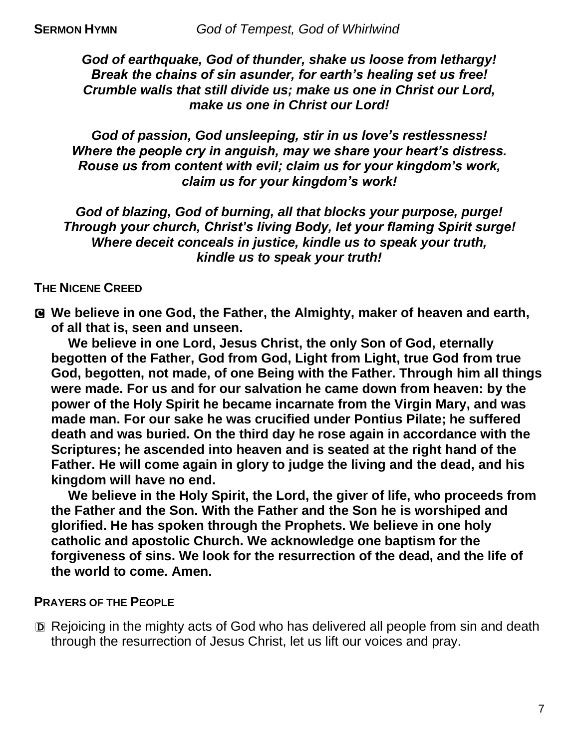*God of earthquake, God of thunder, shake us loose from lethargy! Break the chains of sin asunder, for earth's healing set us free! Crumble walls that still divide us; make us one in Christ our Lord, make us one in Christ our Lord!*

*God of passion, God unsleeping, stir in us love's restlessness! Where the people cry in anguish, may we share your heart's distress. Rouse us from content with evil; claim us for your kingdom's work, claim us for your kingdom's work!*

*God of blazing, God of burning, all that blocks your purpose, purge! Through your church, Christ's living Body, let your flaming Spirit surge! Where deceit conceals in justice, kindle us to speak your truth, kindle us to speak your truth!*

### **THE NICENE CREED**

C **We believe in one God, the Father, the Almighty, maker of heaven and earth, of all that is, seen and unseen.** 

**We believe in one Lord, Jesus Christ, the only Son of God, eternally begotten of the Father, God from God, Light from Light, true God from true God, begotten, not made, of one Being with the Father. Through him all things were made. For us and for our salvation he came down from heaven: by the power of the Holy Spirit he became incarnate from the Virgin Mary, and was made man. For our sake he was crucified under Pontius Pilate; he suffered death and was buried. On the third day he rose again in accordance with the Scriptures; he ascended into heaven and is seated at the right hand of the Father. He will come again in glory to judge the living and the dead, and his kingdom will have no end.**

**We believe in the Holy Spirit, the Lord, the giver of life, who proceeds from the Father and the Son. With the Father and the Son he is worshiped and glorified. He has spoken through the Prophets. We believe in one holy catholic and apostolic Church. We acknowledge one baptism for the forgiveness of sins. We look for the resurrection of the dead, and the life of the world to come. Amen.**

### **PRAYERS OF THE PEOPLE**

D Rejoicing in the mighty acts of God who has delivered all people from sin and death through the resurrection of Jesus Christ, let us lift our voices and pray.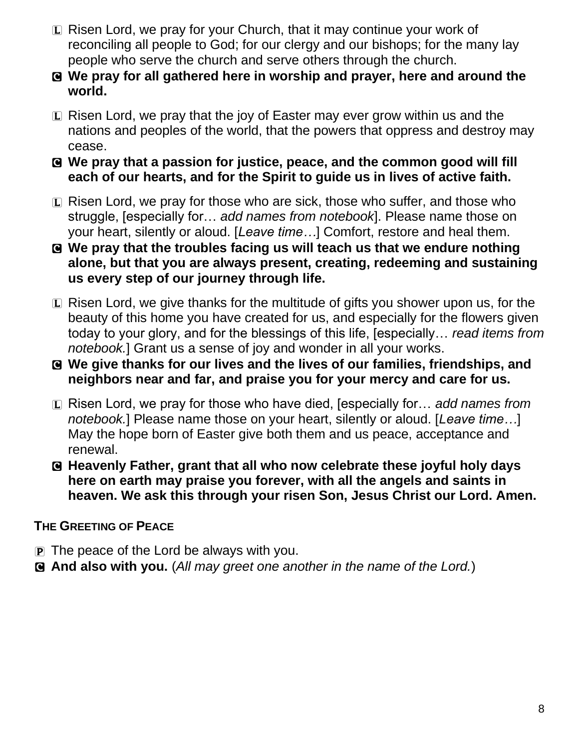- L Risen Lord, we pray for your Church, that it may continue your work of reconciling all people to God; for our clergy and our bishops; for the many lay people who serve the church and serve others through the church.
- C **We pray for all gathered here in worship and prayer, here and around the world.**
- L Risen Lord, we pray that the joy of Easter may ever grow within us and the nations and peoples of the world, that the powers that oppress and destroy may cease.
- C **We pray that a passion for justice, peace, and the common good will fill each of our hearts, and for the Spirit to guide us in lives of active faith.**
- L Risen Lord, we pray for those who are sick, those who suffer, and those who struggle, [especially for… *add names from notebook*]. Please name those on your heart, silently or aloud. [*Leave time…*] Comfort, restore and heal them.
- C **We pray that the troubles facing us will teach us that we endure nothing alone, but that you are always present, creating, redeeming and sustaining us every step of our journey through life.**
- $\Box$  Risen Lord, we give thanks for the multitude of gifts you shower upon us, for the beauty of this home you have created for us, and especially for the flowers given today to your glory, and for the blessings of this life, [especially… *read items from notebook.*] Grant us a sense of joy and wonder in all your works.
- C **We give thanks for our lives and the lives of our families, friendships, and neighbors near and far, and praise you for your mercy and care for us.**
- L Risen Lord, we pray for those who have died, [especially for… *add names from notebook.*] Please name those on your heart, silently or aloud. [*Leave time…*] May the hope born of Easter give both them and us peace, acceptance and renewal.
- C **Heavenly Father, grant that all who now celebrate these joyful holy days here on earth may praise you forever, with all the angels and saints in heaven. We ask this through your risen Son, Jesus Christ our Lord. Amen.**

### **THE GREETING OF PEACE**

- $\overline{P}$  The peace of the Lord be always with you.
- C **And also with you.** (*All may greet one another in the name of the Lord.*)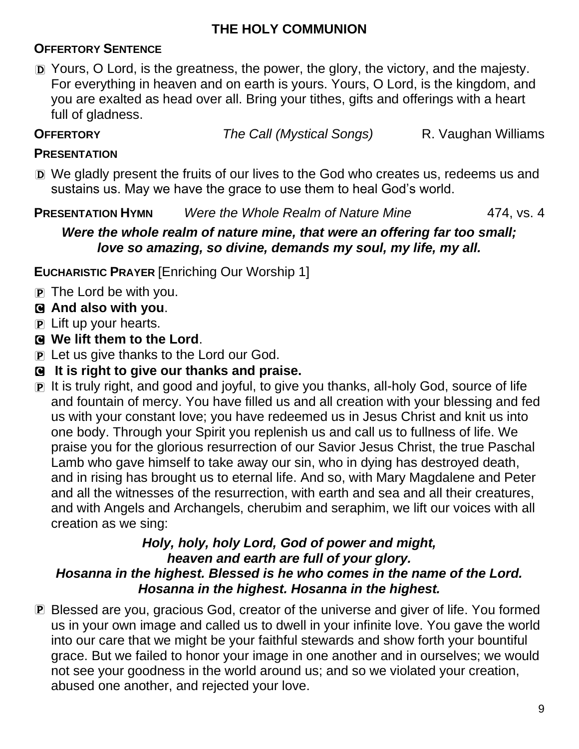# **THE HOLY COMMUNION**

# **OFFERTORY SENTENCE**

D Yours, O Lord, is the greatness, the power, the glory, the victory, and the majesty. For everything in heaven and on earth is yours. Yours, O Lord, is the kingdom, and you are exalted as head over all. Bring your tithes, gifts and offerings with a heart full of gladness.

**OFFERTORY** *The Call (Mystical Songs)* R. Vaughan Williams

### **PRESENTATION**

D We gladly present the fruits of our lives to the God who creates us, redeems us and sustains us. May we have the grace to use them to heal God's world.

**PRESENTATION HYMN** *Were the Whole Realm of Nature Mine* 474, vs. 4

## *Were the whole realm of nature mine, that were an offering far too small; love so amazing, so divine, demands my soul, my life, my all.*

**EUCHARISTIC PRAYER** [Enriching Our Worship 1]

- $\overline{P}$  The Lord be with you.
- C **And also with you**.
- P Lift up your hearts.
- C **We lift them to the Lord**.
- P Let us give thanks to the Lord our God.
- C **It is right to give our thanks and praise.**
- P It is truly right, and good and joyful, to give you thanks, all-holy God, source of life and fountain of mercy. You have filled us and all creation with your blessing and fed us with your constant love; you have redeemed us in Jesus Christ and knit us into one body. Through your Spirit you replenish us and call us to fullness of life. We praise you for the glorious resurrection of our Savior Jesus Christ, the true Paschal Lamb who gave himself to take away our sin, who in dying has destroyed death, and in rising has brought us to eternal life. And so, with Mary Magdalene and Peter and all the witnesses of the resurrection, with earth and sea and all their creatures, and with Angels and Archangels, cherubim and seraphim, we lift our voices with all creation as we sing:

### *Holy, holy, holy Lord, God of power and might, heaven and earth are full of your glory. Hosanna in the highest. Blessed is he who comes in the name of the Lord. Hosanna in the highest. Hosanna in the highest.*

P Blessed are you, gracious God, creator of the universe and giver of life. You formed us in your own image and called us to dwell in your infinite love. You gave the world into our care that we might be your faithful stewards and show forth your bountiful grace. But we failed to honor your image in one another and in ourselves; we would not see your goodness in the world around us; and so we violated your creation, abused one another, and rejected your love.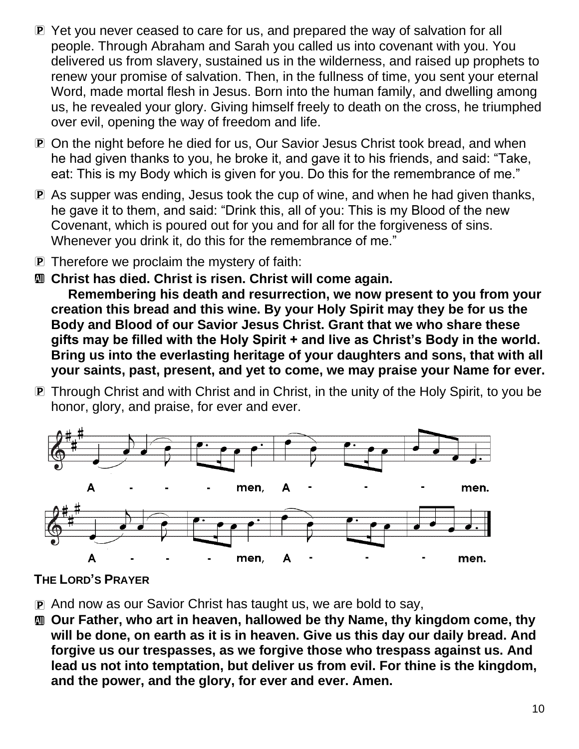- P Yet you never ceased to care for us, and prepared the way of salvation for all people. Through Abraham and Sarah you called us into covenant with you. You delivered us from slavery, sustained us in the wilderness, and raised up prophets to renew your promise of salvation. Then, in the fullness of time, you sent your eternal Word, made mortal flesh in Jesus. Born into the human family, and dwelling among us, he revealed your glory. Giving himself freely to death on the cross, he triumphed over evil, opening the way of freedom and life.
- P On the night before he died for us, Our Savior Jesus Christ took bread, and when he had given thanks to you, he broke it, and gave it to his friends, and said: "Take, eat: This is my Body which is given for you. Do this for the remembrance of me."
- P As supper was ending, Jesus took the cup of wine, and when he had given thanks, he gave it to them, and said: "Drink this, all of you: This is my Blood of the new Covenant, which is poured out for you and for all for the forgiveness of sins. Whenever you drink it, do this for the remembrance of me."
- P Therefore we proclaim the mystery of faith:
- $\textcircled{1}$  Christ has died. Christ is risen. Christ will come again.

**Remembering his death and resurrection, we now present to you from your creation this bread and this wine. By your Holy Spirit may they be for us the Body and Blood of our Savior Jesus Christ. Grant that we who share these gifts may be filled with the Holy Spirit + and live as Christ's Body in the world. Bring us into the everlasting heritage of your daughters and sons, that with all your saints, past, present, and yet to come, we may praise your Name for ever.**

P Through Christ and with Christ and in Christ, in the unity of the Holy Spirit, to you be honor, glory, and praise, for ever and ever.



**THE LORD'S PRAYER**

- P And now as our Savior Christ has taught us, we are bold to say,
- a **Our Father, who art in heaven, hallowed be thy Name, thy kingdom come, thy will be done, on earth as it is in heaven. Give us this day our daily bread. And forgive us our trespasses, as we forgive those who trespass against us. And lead us not into temptation, but deliver us from evil. For thine is the kingdom, and the power, and the glory, for ever and ever. Amen.**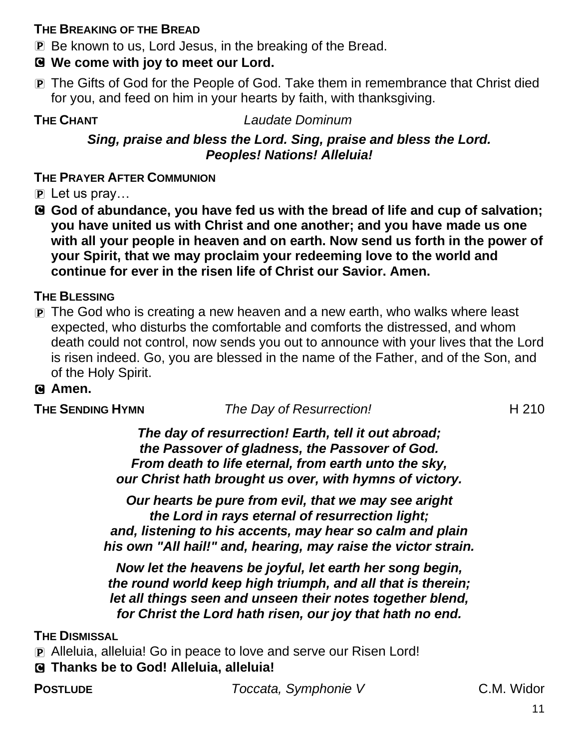### **THE BREAKING OF THE BREAD**

P Be known to us, Lord Jesus, in the breaking of the Bread.

### C **We come with joy to meet our Lord.**

P The Gifts of God for the People of God. Take them in remembrance that Christ died for you, and feed on him in your hearts by faith, with thanksgiving.

### **THE CHANT** *Laudate Dominum*

### *Sing, praise and bless the Lord. Sing, praise and bless the Lord. Peoples! Nations! Alleluia!*

**THE PRAYER AFTER COMMUNION**

 $\mathbf{P}$  Let us pray...

C **God of abundance, you have fed us with the bread of life and cup of salvation; you have united us with Christ and one another; and you have made us one with all your people in heaven and on earth. Now send us forth in the power of your Spirit, that we may proclaim your redeeming love to the world and continue for ever in the risen life of Christ our Savior. Amen.**

### **THE BLESSING**

P The God who is creating a new heaven and a new earth, who walks where least expected, who disturbs the comfortable and comforts the distressed, and whom death could not control, now sends you out to announce with your lives that the Lord is risen indeed. Go, you are blessed in the name of the Father, and of the Son, and of the Holy Spirit.

# C **Amen.**

**THE SENDING HYMN** *The Day of Resurrection!* H 210

*The day of resurrection! Earth, tell it out abroad; the Passover of gladness, the Passover of God. From death to life eternal, from earth unto the sky, our Christ hath brought us over, with hymns of victory.*

*Our hearts be pure from evil, that we may see aright the Lord in rays eternal of resurrection light; and, listening to his accents, may hear so calm and plain his own "All hail!" and, hearing, may raise the victor strain.*

*Now let the heavens be joyful, let earth her song begin, the round world keep high triumph, and all that is therein; let all things seen and unseen their notes together blend, for Christ the Lord hath risen, our joy that hath no end.*

### **THE DISMISSAL**

P Alleluia, alleluia! Go in peace to love and serve our Risen Lord! C **Thanks be to God! Alleluia, alleluia!**

**POSTLUDE** *Toccata, Symphonie V* C.M. Widor